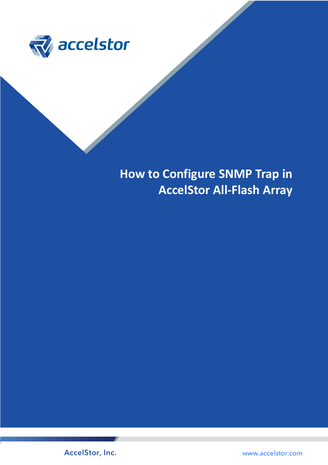

**How to Configure SNMP Trap in AccelStor All-Flash Array**

AccelStor, Inc.

www.accelstor.com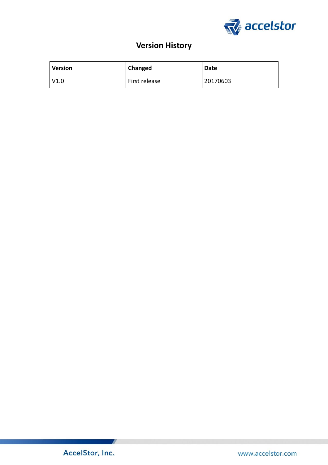

# **Version History**

| <b>Version</b> | Changed       | <b>Date</b> |
|----------------|---------------|-------------|
| V1.0           | First release | 20170603    |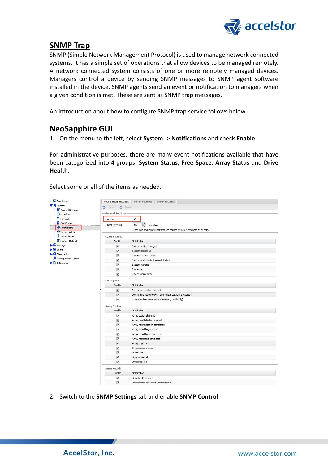

## **SNMP Trap**

SNMP (Simple Network Management Protocol) is used to manage network connected systems. It has a simple set of operations that allow devices to be managed remotely. A network connected system consists of one or more remotely managed devices. Managers control a device by sending SNMP messages to SNMP agent software installed in the device. SNMP agents send an event or notification to managers when a given condition is met. These are sent as SNMP trap messages.

An introduction about how to configure SNMP trap service follows below.

### **NeoSapphire GUI**

1. On the menu to the left, select **System** -> **Notifications** and check **Enable**.

For administrative purposes, there are many event notifications available that have been categorized into 4 groups: **System Status**, **Free Space**, **Array Status** and **Drive Health**.

Select some or all of the items as needed.

| <b>Dashboard</b>                       | <b>Notification Settings</b> | <b>E-Mail Settings</b><br><b>SNMP Settings</b>                            |
|----------------------------------------|------------------------------|---------------------------------------------------------------------------|
| <b>V</b> fil <sup>system</sup>         | Reset<br>O<br><b>Save</b>    |                                                                           |
| General Settings<br><b>O</b> Date/Time | <b>General Settings</b>      |                                                                           |
| Network                                | Enable                       | $\overline{\mathbf{v}}$                                                   |
| <b>Q</b> Certificates                  |                              |                                                                           |
| Notifications                          | Silent Interval              | $\div$<br>60<br>Minutes                                                   |
| <sup>0</sup> Image Update              |                              | Rate limit of duplicate notifications caused by same instances of events. |
| Import/Export                          | <b>System Status</b>         |                                                                           |
| <b>Ø</b> Factory Default               | Enable                       | Notification                                                              |
| $\blacktriangleright \equiv$ Storage   | $\boldsymbol{J}$             | System status changed                                                     |
| $\blacktriangleright$ Share            | $\overline{\mathsf{w}}$      | System booted up                                                          |
| Diagnostics                            | $\overline{\mathsf{v}}$      | System shutting down                                                      |
| Configuration Wizard                   | $\sqrt{2}$                   | System undean shutdown detected                                           |
| $\Box$ Information                     | $\overline{\mathsf{v}}$      | System warning                                                            |
|                                        | $\overline{\mathbf{v}}$      | System error                                                              |
|                                        | $\sqrt{2}$                   | Power supply error                                                        |
|                                        | - Free Space                 |                                                                           |
|                                        | Enable                       | <b>Notification</b>                                                       |
|                                        | V                            | Free space status changed                                                 |
|                                        | $\overline{\mathsf{v}}$      | Low in free space (90%+ of physical capacity occupied)                    |
|                                        | $\overline{\mathbf{v}}$      | Critical in free space (array becoming read-only)                         |
|                                        | <b>Array Status</b>          |                                                                           |
|                                        | Enable                       | Notification                                                              |
|                                        | $\overline{\mathcal{A}}$     | Array status changed                                                      |
|                                        | $\overline{\mathbf{v}}$      | Array reinitialization started                                            |
|                                        | $\overline{v}$               | Array reinitialization completed                                          |
|                                        | $\overline{v}$               | Array rebuilding started                                                  |
|                                        | $\overline{\mathsf{v}}$      | Array rebuilding in progress                                              |
|                                        | V                            | Array rebuilding completed                                                |
|                                        | $\overline{\mathbf{v}}$      | Array degraded                                                            |
|                                        | $\overline{\mathbf{v}}$      | Drive status altered                                                      |
|                                        | $\overline{\mathbf{v}}$      | Drive failed                                                              |
|                                        | $\sqrt{2}$                   | Drive removed                                                             |
|                                        | $\overline{\mathsf{v}}$      | Drive inserted                                                            |
|                                        | Drive Health                 |                                                                           |
|                                        | Enable                       | Notification                                                              |
|                                        | $\overline{\mathbf{v}}$      | Drive health altered                                                      |
|                                        | $\overline{\mathsf{v}}$      | Drive health degraded - marked yellow                                     |

2. Switch to the **SNMP Settings** tab and enable **SNMP Control**.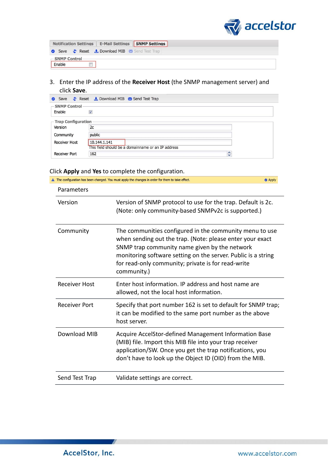

|                          | Notification Settings E-Mail Settings SNMP Settings |  |
|--------------------------|-----------------------------------------------------|--|
|                          | Save Save Reset L Download MIB Send Test Trap       |  |
| - SNMP Control<br>Enable |                                                     |  |

3. Enter the IP address of the **Receiver Host** (the SNMP management server) and click **Save**.

| $\bullet$            | Save Save Reset Lownload MIB M Send Test Trap                      |               |
|----------------------|--------------------------------------------------------------------|---------------|
| <b>SNMP Control</b>  |                                                                    |               |
| Enable               | $\overline{\mathsf{v}}$                                            |               |
| -Trap Configuration  |                                                                    |               |
| Version              | 2c                                                                 |               |
| Community            | public                                                             |               |
| <b>Receiver Host</b> | 10.144.1.141<br>This field should be a domainname or an IP address |               |
| <b>Receiver Port</b> | 162                                                                | $\hat{\cdot}$ |

### Click **Apply** and **Yes** to complete the configuration.

|                      | A The configuration has been changed. You must apply the changes in order for them to take effect.                                                                                                                                                                                                          | <b>O</b> Apply |
|----------------------|-------------------------------------------------------------------------------------------------------------------------------------------------------------------------------------------------------------------------------------------------------------------------------------------------------------|----------------|
| Parameters           |                                                                                                                                                                                                                                                                                                             |                |
| Version              | Version of SNMP protocol to use for the trap. Default is 2c.<br>(Note: only community-based SNMPv2c is supported.)                                                                                                                                                                                          |                |
| Community            | The communities configured in the community menu to use<br>when sending out the trap. (Note: please enter your exact<br>SNMP trap community name given by the network<br>monitoring software setting on the server. Public is a string<br>for read-only community; private is for read-write<br>community.) |                |
| <b>Receiver Host</b> | Enter host information. IP address and host name are<br>allowed, not the local host information.                                                                                                                                                                                                            |                |
| <b>Receiver Port</b> | Specify that port number 162 is set to default for SNMP trap;<br>it can be modified to the same port number as the above<br>host server.                                                                                                                                                                    |                |
| Download MIB         | Acquire AccelStor-defined Management Information Base<br>(MIB) file. Import this MIB file into your trap receiver<br>application/SW. Once you get the trap notifications, you<br>don't have to look up the Object ID (OID) from the MIB.                                                                    |                |
| Send Test Trap       | Validate settings are correct.                                                                                                                                                                                                                                                                              |                |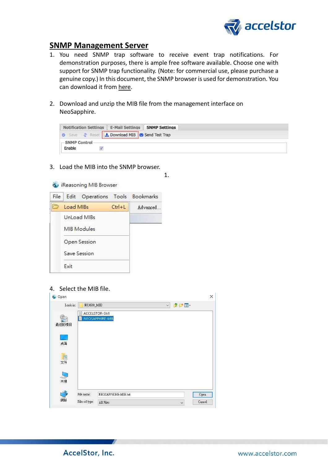

### **SNMP Management Server**

- 1. You need SNMP trap software to receive event trap notifications. For demonstration purposes, there is ample free software available. Choose one with support for SNMP trap functionality. (Note: for commercial use, please purchase a genuine copy.) In this document, the SNMP browser is used for demonstration. You can download it from [here.](http://ireasoning.com/downloadmibbrowserlicense.shtml)
- 2. Download and unzip the MIB file from the management interface on NeoSapphire.



3. Load the MIB into the SNMP browser.



4. Select the MIB file.

| Look in: | NS3600_MIB |                      | $\checkmark$ | 中四日 |      |
|----------|------------|----------------------|--------------|-----|------|
|          |            | <b>ACCELSTOR-SMI</b> |              |     |      |
| 頿        |            | NEOSAPPHIRE-MIB      |              |     |      |
| 最近的項目    |            |                      |              |     |      |
|          |            |                      |              |     |      |
| U.       |            |                      |              |     |      |
| 点面       |            |                      |              |     |      |
|          |            |                      |              |     |      |
| E        |            |                      |              |     |      |
|          |            |                      |              |     |      |
|          |            |                      |              |     |      |
| 文件       |            |                      |              |     |      |
|          |            |                      |              |     |      |
| 9        |            |                      |              |     |      |
| 本機       |            |                      |              |     |      |
|          |            |                      |              |     |      |
| 網路       | File name: | NEOSAPPHIRE-MIB.txt  |              |     | Open |